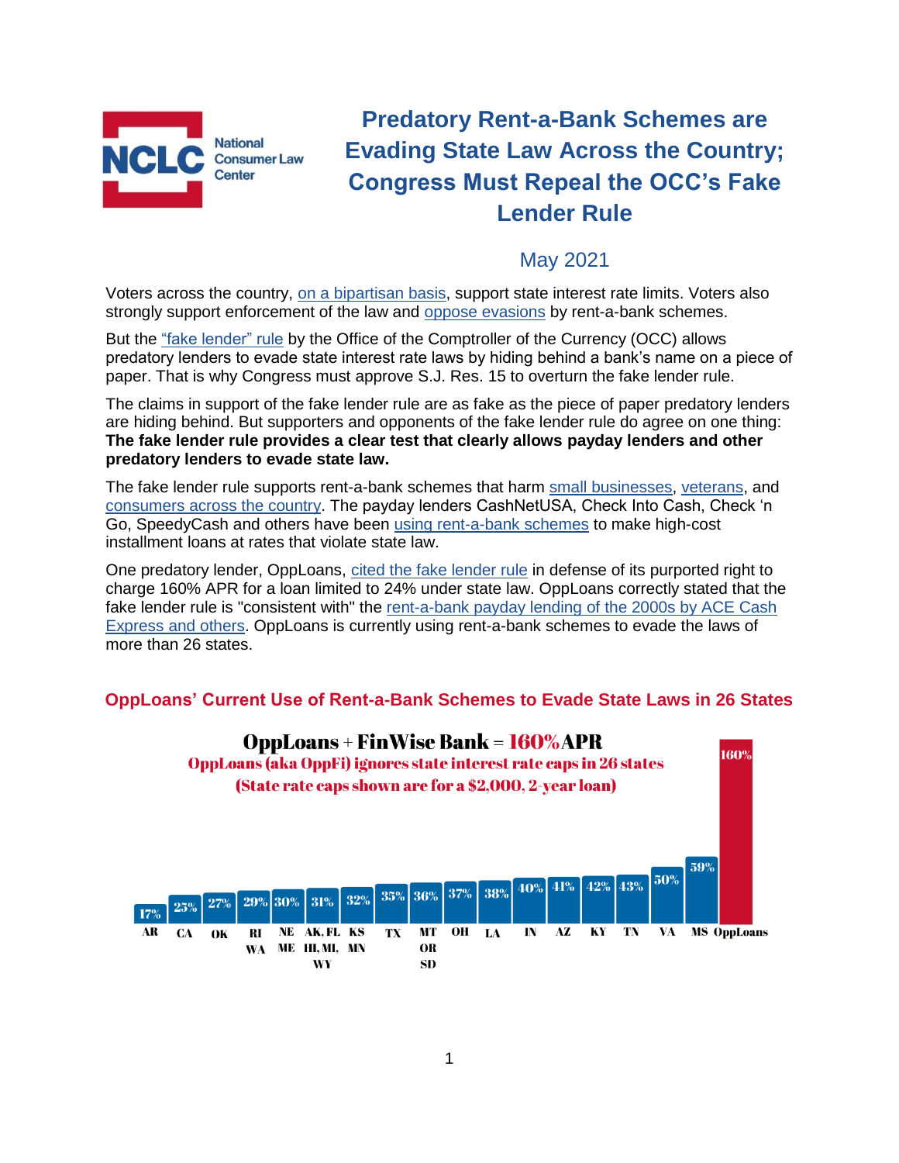

# **Predatory Rent-a-Bank Schemes are Evading State Law Across the Country; Congress Must Repeal the OCC's Fake Lender Rule**

# May 2021

Voters across the country, [on a bipartisan basis,](https://www.responsiblelending.org/research-publication/new-poll-bipartisan-support-stopping-predatory-high-interest-loans) support state interest rate limits. Voters also strongly support enforcement of the law and [oppose evasions](https://www.responsiblelending.org/media/morning-consult-poll-shows-two-thirds-voters-are-concerned-about-rent-bank-loan-laundering) by rent-a-bank schemes.

But the ["fake lender" rule](http://bit.ly/FakeLenderRule) by the Office of the Comptroller of the Currency (OCC) allows predatory lenders to evade state interest rate laws by hiding behind a bank's name on a piece of paper. That is why Congress must approve S.J. Res. 15 to overturn the fake lender rule.

The claims in support of the fake lender rule are as fake as the piece of paper predatory lenders are hiding behind. But supporters and opponents of the fake lender rule do agree on one thing: **The fake lender rule provides a clear test that clearly allows payday lenders and other predatory lenders to evade state law.**

The fake lender rule supports rent-a-bank schemes that harm [small businesses,](https://consumerfed.org/wp-content/uploads/2021/04/Small-Business-RAB-Brief-FINAL-1.pdf) [veterans,](https://consumerfed.org/wp-content/uploads/2021/03/Servicemember-RAB-Brief.pdf) and [consumers across the country.](https://consumerfed.org/wp-content/uploads/2021/03/Rent-A-Bank-Stories_By-State-2021.pdf) The payday lenders CashNetUSA, Check Into Cash, Check 'n Go, SpeedyCash and others have been [using rent-a-bank schemes](https://www.nclc.org/issues/high-cost-small-loans/rent-a-bank-loan-watch-list.html) to make high-cost installment loans at rates that violate state law.

One predatory lender, OppLoans, [cited the fake lender rule](http://bit.ly/Sims-Opploans-mtn) in defense of its purported right to charge 160% APR for a loan limited to 24% under state law. OppLoans correctly stated that the fake lender rule is "consistent with" the [rent-a-bank payday lending of the 2000s by ACE Cash](https://consumerfed.org/pdfs/pdlrentabankreport.pdf)  [Express and others.](https://consumerfed.org/pdfs/pdlrentabankreport.pdf) OppLoans is currently using rent-a-bank schemes to evade the laws of more than 26 states.

#### **OppLoans' Current Use of Rent-a-Bank Schemes to Evade State Laws in 26 States**

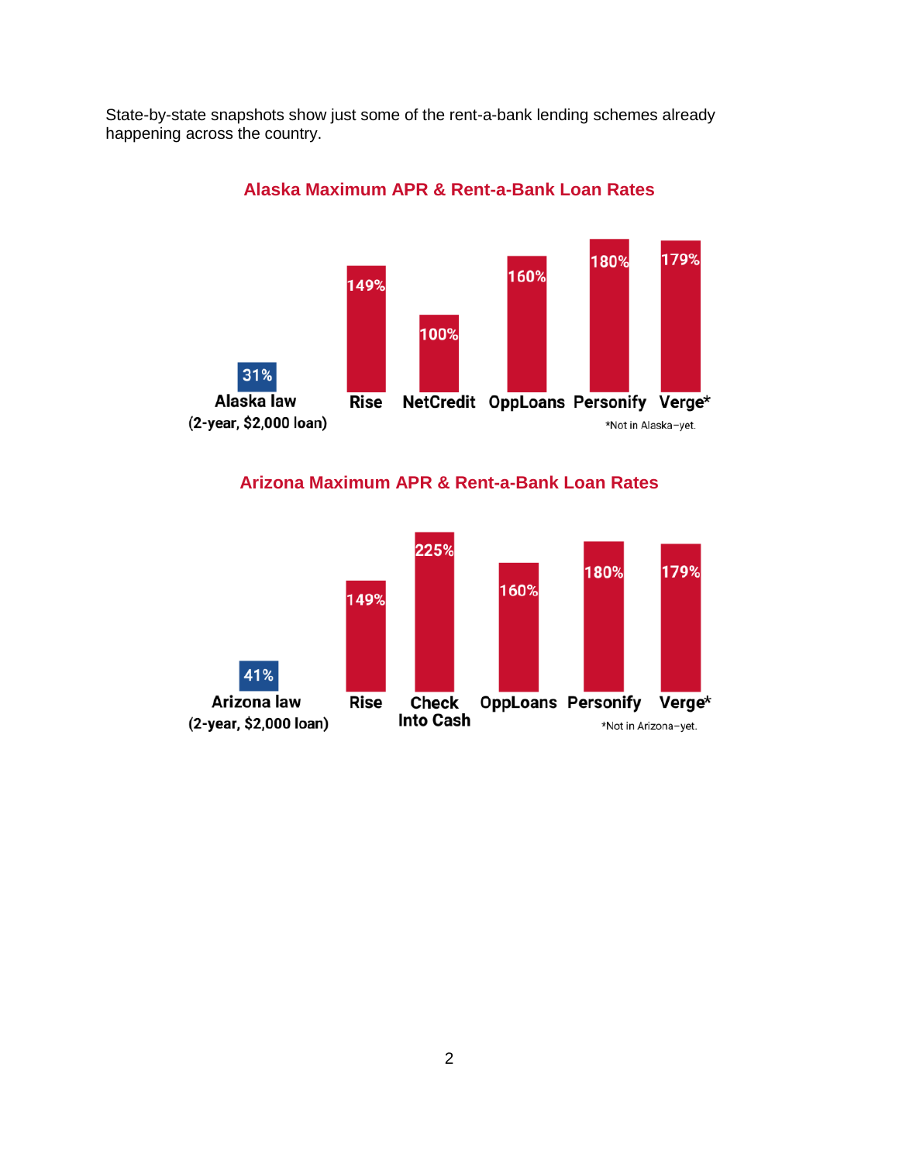State-by-state snapshots show just some of the rent-a-bank lending schemes already happening across the country.



#### **Alaska Maximum APR & Rent-a-Bank Loan Rates**

**Arizona Maximum APR & Rent-a-Bank Loan Rates**

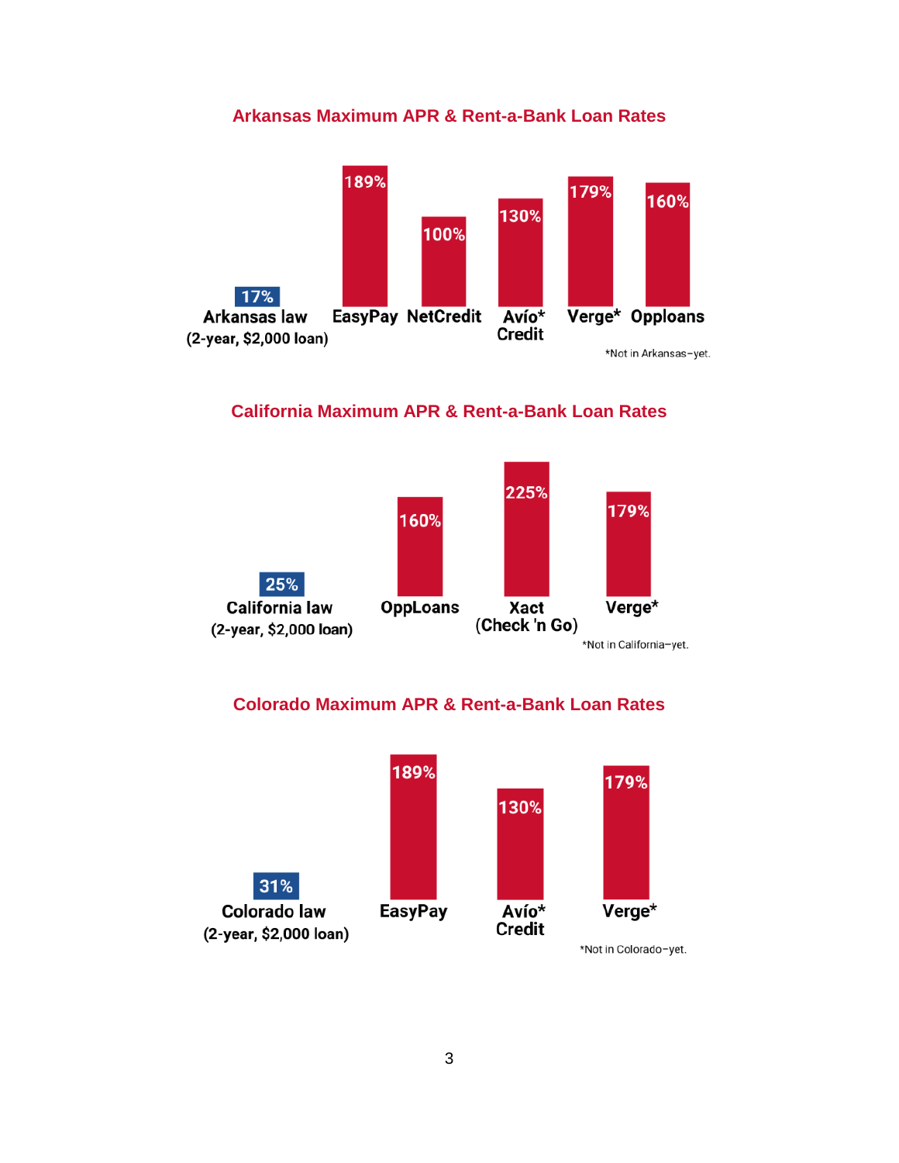# **Arkansas Maximum APR & Rent-a-Bank Loan Rates**



# **California Maximum APR & Rent-a-Bank Loan Rates**



#### **Colorado Maximum APR & Rent-a-Bank Loan Rates**

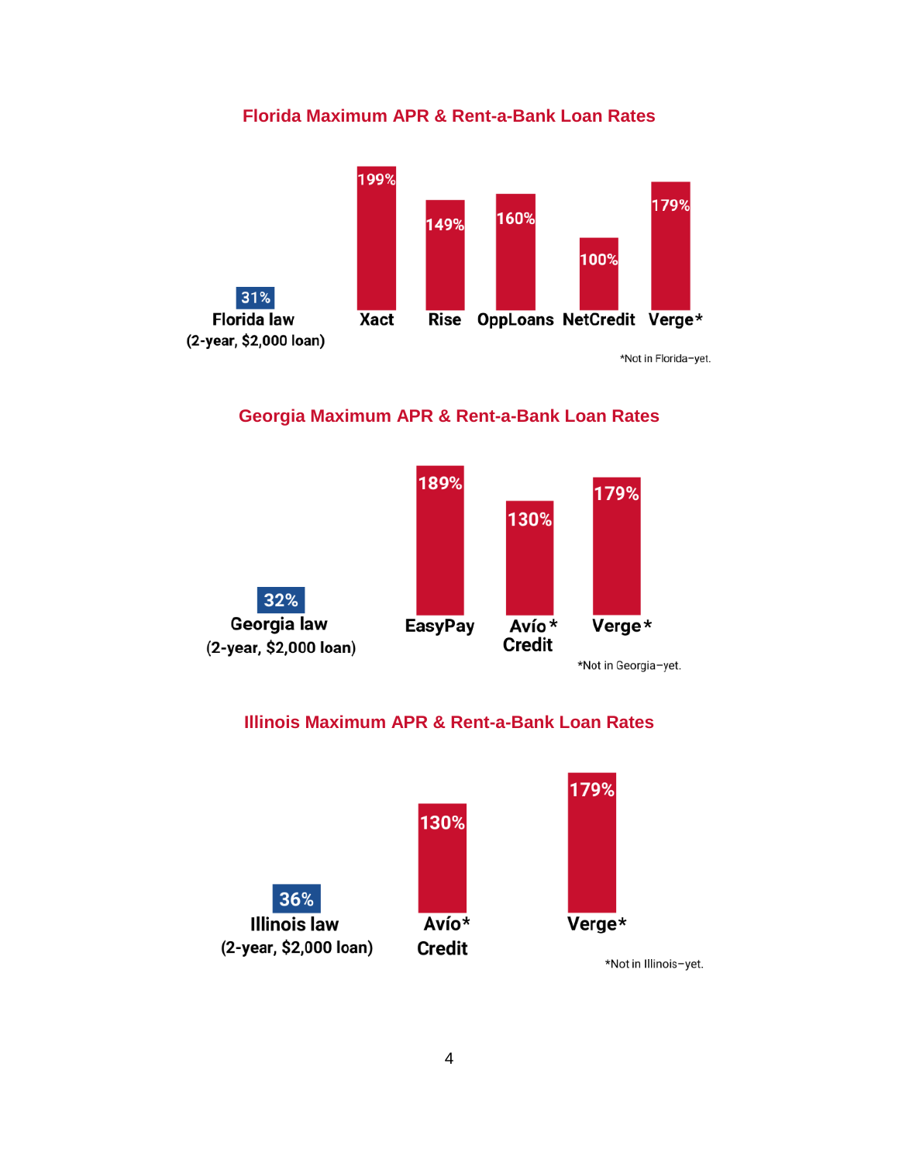# **Florida Maximum APR & Rent-a-Bank Loan Rates**



\*Not in Florida-yet.

# **Georgia Maximum APR & Rent-a-Bank Loan Rates**



# **Illinois Maximum APR & Rent-a-Bank Loan Rates**

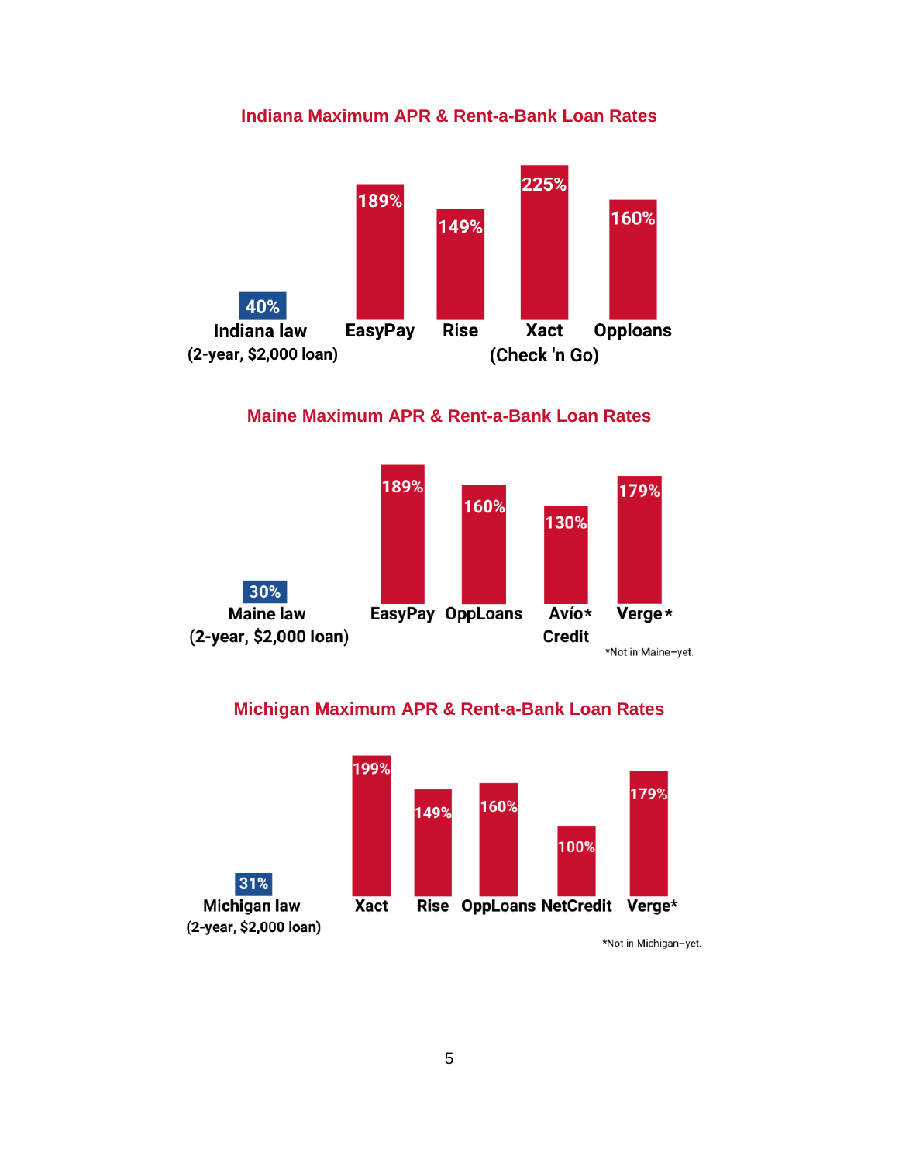# **Indiana Maximum APR & Rent-a-Bank Loan Rates**



#### **Maine Maximum APR & Rent-a-Bank Loan Rates**



#### **Michigan Maximum APR & Rent-a-Bank Loan Rates**



\*Not in Michigan-yet.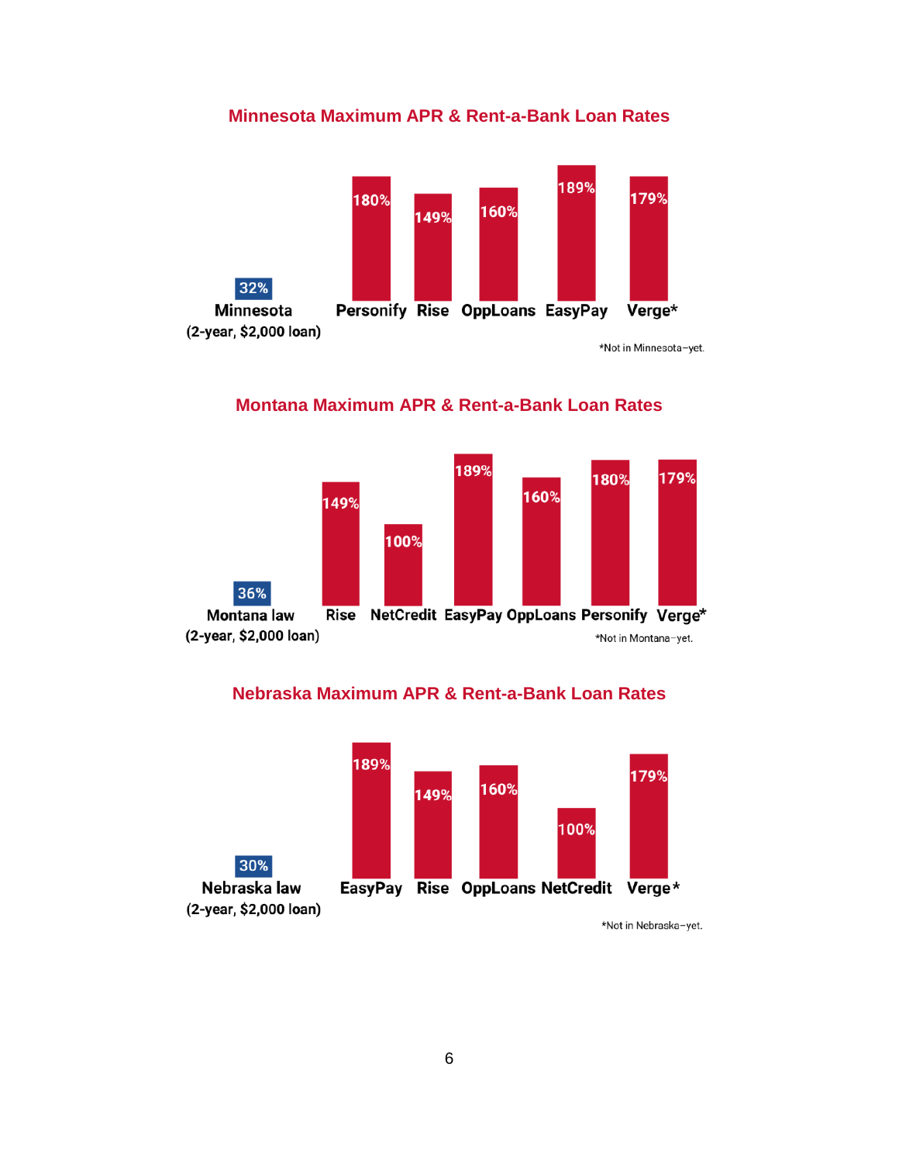# **Minnesota Maximum APR & Rent-a-Bank Loan Rates**



#### **Montana Maximum APR & Rent-a-Bank Loan Rates**



#### **Nebraska Maximum APR & Rent-a-Bank Loan Rates**



\*Not in Nebraska-yet.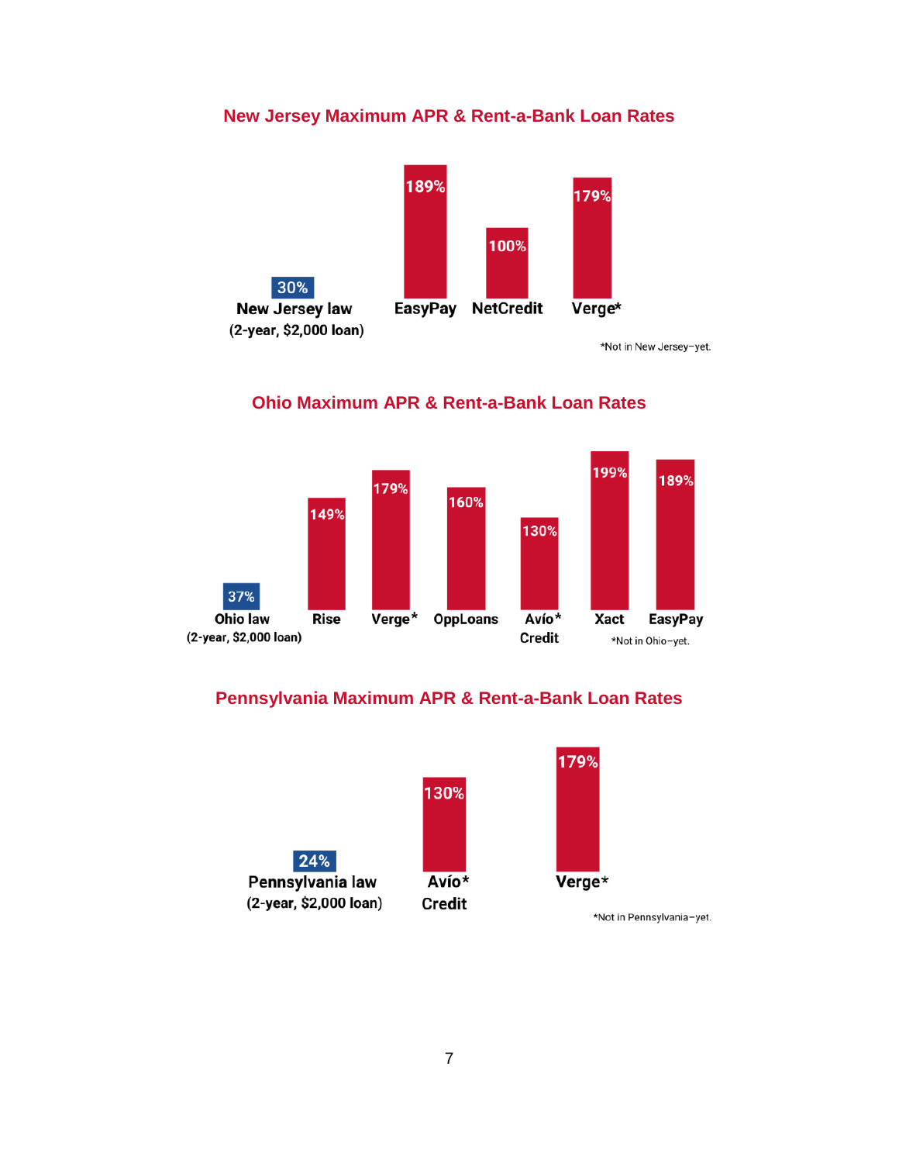# **New Jersey Maximum APR & Rent-a-Bank Loan Rates**



\*Not in New Jersey-yet.

#### 199% 189% 179% 160% 149% 130% 37% **Rise** Verge\* **OppLoans** Avío\* Xact **EasyPay** Ohio law (2-year, \$2,000 loan) **Credit** \*Not in Ohio-yet.

#### **Ohio Maximum APR & Rent-a-Bank Loan Rates**

# **Pennsylvania Maximum APR & Rent-a-Bank Loan Rates**

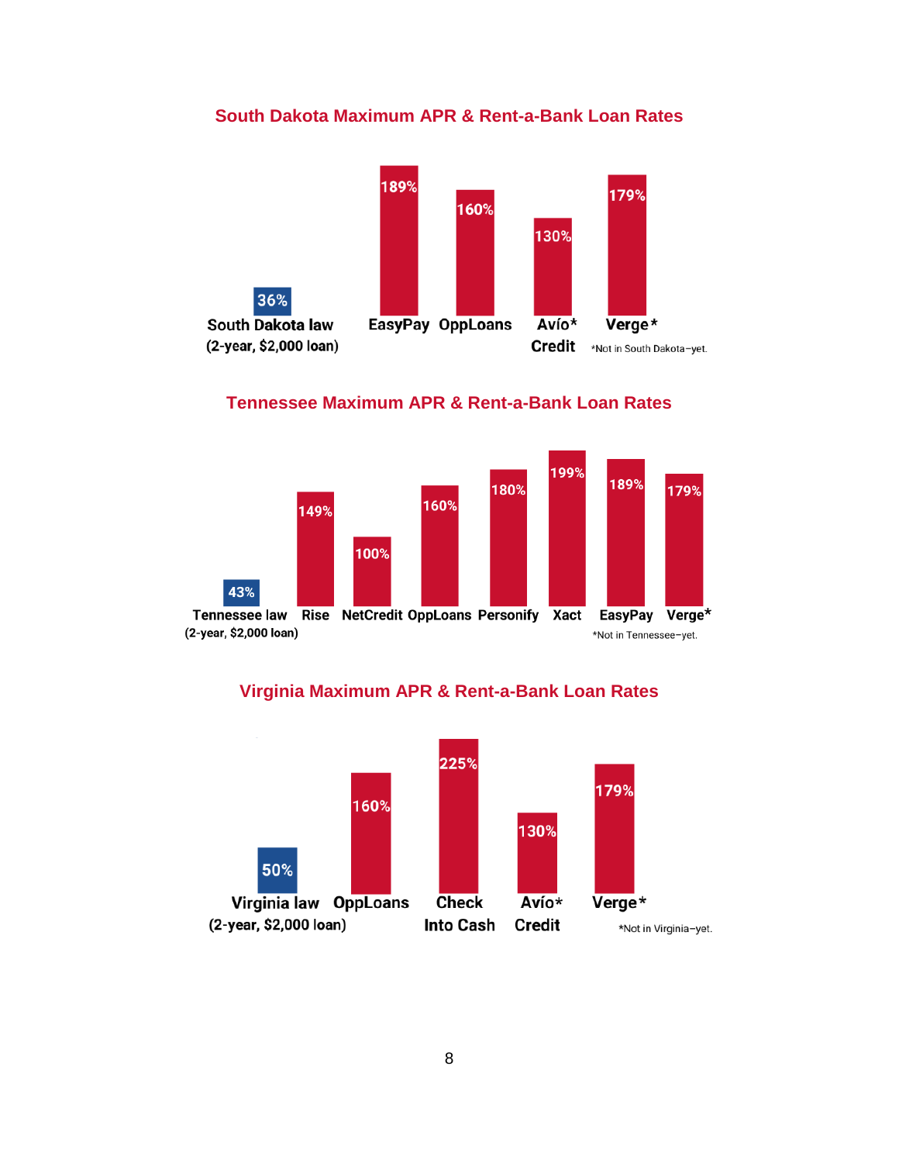# **South Dakota Maximum APR & Rent-a-Bank Loan Rates**



#### **Tennessee Maximum APR & Rent-a-Bank Loan Rates**



# **Virginia Maximum APR & Rent-a-Bank Loan Rates**